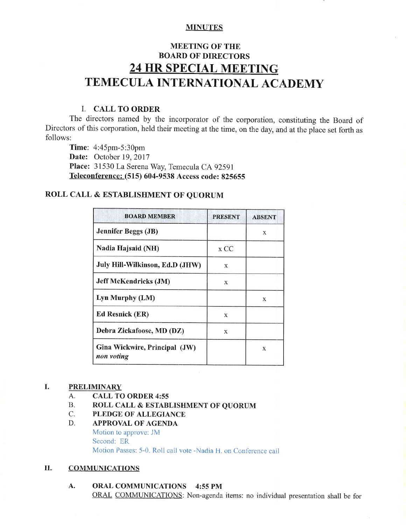# **MINUTES**

# MEETING OF THE BOARD OF DIRECTORS 24 HR SPECIAL MEETING TEMECULA INTERNATIONAL ACADEMY

# I. CALL TO ORDER

Ihe directors named by the incorporator of the corporation, constituting the Board of Directors of this corporation, held their meeting at the time, on the day, and at the place set forth as follows:

'Time: 4:45pm-5:30pm Date: October 19, 2017 Place: 31530 La Serena Way, Temecula CA 92591 Teleconference: (515) 604-9538 Access code: 825655

# ROLL CALL & ESTABLISHMENT OF QUORUM

| <b>BOARD MEMBER</b>                         | <b>PRESENT</b> | <b>ABSENT</b> |
|---------------------------------------------|----------------|---------------|
| <b>Jennifer Beggs (JB)</b>                  |                | X             |
| Nadia Hajsaid (NH)                          | x CC           |               |
| July Hill-Wilkinson, Ed.D (JHW)             | X              |               |
| <b>Jeff McKendricks (JM)</b>                | X              |               |
| Lyn Murphy (LM)                             |                | X             |
| <b>Ed Resnick (ER)</b>                      | X              |               |
| Debra Zickafoose, MD (DZ)                   | X              |               |
| Gina Wickwire, Principal (JW)<br>non voting |                | X             |

#### I. **PRELIMINARY**

- A. CALL TO ORDER 4:55
- 13. ROLL CALL & ESTABLISHMENT OF QUORUM C. PLEDGE OF ALLEGIANCE
- 

# D. APPROVAL OF AGENDA

Motion to approve: JM Second: ER Motion Passes: 5-0. Roll call vote -Nadia H. on Conference call

# II. COMMUNICATIONS

A. ORAL C0MMUNICATIONS 4:55 PM ORAL COMMUNICATIONS: Non-agenda items: no individual presentation shall be for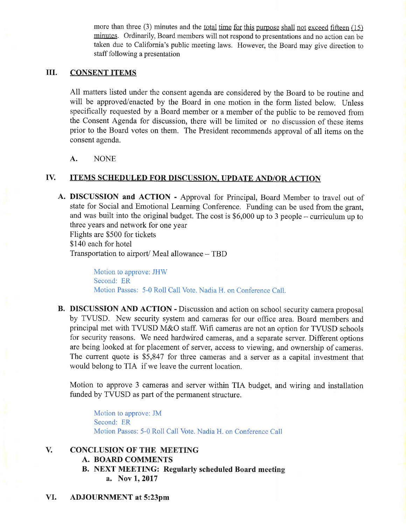more than three (3) minutes and the <u>total time for this purpose shall not exceed fifteen (15)</u> minutes. Ordinarily, Board members will not respond to presentations and no action can be taken due to California's public meeting laws. However, the Board may give direction to staff following a presentation

# IIL CONSENT ITEMS

All matters listed under the consent agenda are considered by the Board to be routine and will be approved/enacted by the Board in one motion in the form listed below. Unless specifically requested by a Board member or a member of the public to be removed frorn the Consent Agenda for discussion, there will be limited or no discussion of these items prior to the Board votes on them. The President recommends approval of all items on the consent agenda.

A. NONE

# IV. ITEMS SCHEDULED FOR DISCUSSION, UPDATE AND/OR ACTION

A. DISCUSSION and ACTION - Approval for Principal, Board Member to travel out of state for Social and Emotional Learning Conference. Funding can be used from the grant, and was built into the original budget. The cost is  $$6,000$  up to 3 people - curriculum up to three years and network for one year Flights are \$500 for tickets

\$140 each for hotel

Transportation to airport/ Meal allowance  $-$  TBD

Motion to approve: JHW Second: ER Motion Passes: 5-0 Roll Call Vote. Nadia H. on Conference Call.

B. DISCUSSION AND ACTION - Discussion and action on school security camera proposal by TWSD. New security system and cameras for our office area. Board members and principal met with TVUSD M&O staff. Wifi cameras are not an option for TVUSD schools for security reasons. We need hardwired cameras, and a separate server. Different options are being looked at for placement of server, access to viewing, and ownership of cameras. The current quote is  $$5,847$  for three cameras and a server as a capital investment that would belong to TIA if we leave the current location.

Motion to approve 3 cameras and server within TIA budget, and wiring and installation funded by TVUSD as part of the permanent structure.

Motion to approve: JM Second: ER Motion Passes: 5-0 Roll Call Vote. Nadia H. on Conference Call

#### V. CONCLUSION OF THE MEETING

- A. BOARD COMMENTS
- B. NEXT MEETING: Regularly scheduled Board meeting a. Nov 1, 2017
- VI. ADJOURNMENT at 5:23pm